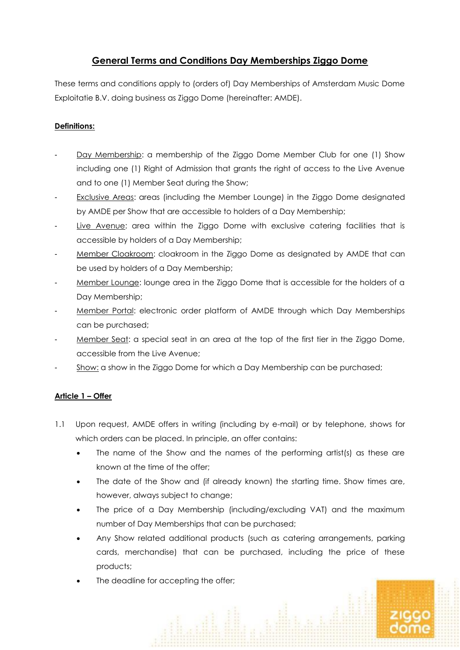# **General Terms and Conditions Day Memberships Ziggo Dome**

These terms and conditions apply to (orders of) Day Memberships of Amsterdam Music Dome Exploitatie B.V. doing business as Ziggo Dome (hereinafter: AMDE).

# **Definitions:**

- Day Membership: a membership of the Ziggo Dome Member Club for one (1) Show including one (1) Right of Admission that grants the right of access to the Live Avenue and to one (1) Member Seat during the Show;
- Exclusive Areas: areas (including the Member Lounge) in the Ziggo Dome designated by AMDE per Show that are accessible to holders of a Day Membership;
- Live Avenue: area within the Ziggo Dome with exclusive catering facilities that is accessible by holders of a Day Membership;
- Member Cloakroom: cloakroom in the Ziggo Dome as designated by AMDE that can be used by holders of a Day Membership;
- Member Lounge: lounge area in the Ziggo Dome that is accessible for the holders of a Day Membership;
- Member Portal: electronic order platform of AMDE through which Day Memberships can be purchased;
- Member Seat: a special seat in an area at the top of the first tier in the Ziggo Dome, accessible from the Live Avenue;
- Show: a show in the Ziggo Dome for which a Day Membership can be purchased;

# **Article 1 – Offer**

- 1.1 Upon request, AMDE offers in writing (including by e-mail) or by telephone, shows for which orders can be placed. In principle, an offer contains:
	- The name of the Show and the names of the performing artist(s) as these are known at the time of the offer;
	- The date of the Show and (if already known) the starting time. Show times are, however, always subject to change;
	- The price of a Day Membership (including/excluding VAT) and the maximum number of Day Memberships that can be purchased;
	- Any Show related additional products (such as catering arrangements, parking cards, merchandise) that can be purchased, including the price of these products;
	- The deadline for accepting the offer;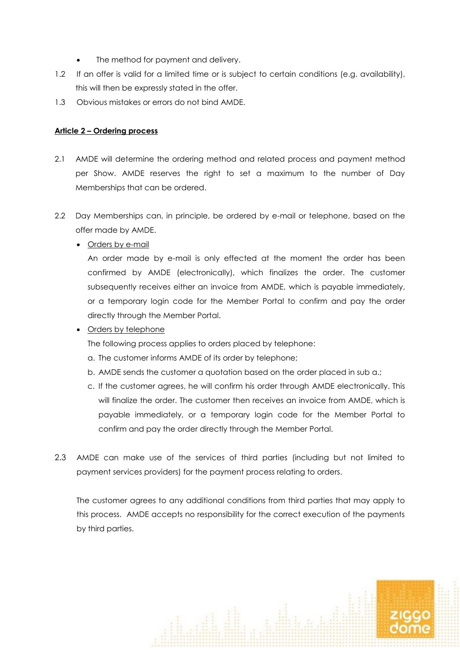- The method for payment and delivery.
- 1.2 If an offer is valid for a limited time or is subject to certain conditions (e.g. availability), this will then be expressly stated in the offer.
- 1.3 Obvious mistakes or errors do not bind AMDE.

#### **Article 2 – Ordering process**

- 2.1 AMDE will determine the ordering method and related process and payment method per Show. AMDE reserves the right to set a maximum to the number of Day Memberships that can be ordered.
- 2.2 Day Memberships can, in principle, be ordered by e-mail or telephone, based on the offer made by AMDE.
	- Orders by e-mail

An order made by e-mail is only effected at the moment the order has been confirmed by AMDE (electronically), which finalizes the order. The customer subsequently receives either an invoice from AMDE, which is payable immediately, or a temporary login code for the Member Portal to confirm and pay the order directly through the Member Portal.

• Orders by telephone

The following process applies to orders placed by telephone:

- a. The customer informs AMDE of its order by telephone;
- b. AMDE sends the customer a quotation based on the order placed in sub a.;
- c. If the customer agrees, he will confirm his order through AMDE electronically. This will finalize the order. The customer then receives an invoice from AMDE, which is payable immediately, or a temporary login code for the Member Portal to confirm and pay the order directly through the Member Portal.
- 2.3 AMDE can make use of the services of third parties (including but not limited to payment services providers) for the payment process relating to orders.

The customer agrees to any additional conditions from third parties that may apply to this process. AMDE accepts no responsibility for the correct execution of the payments by third parties.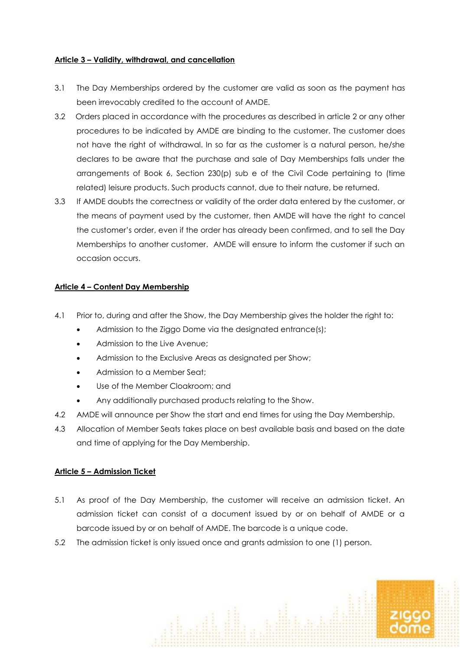## **Article 3 – Validity, withdrawal, and cancellation**

- 3.1 The Day Memberships ordered by the customer are valid as soon as the payment has been irrevocably credited to the account of AMDE.
- 3.2 Orders placed in accordance with the procedures as described in article 2 or any other procedures to be indicated by AMDE are binding to the customer. The customer does not have the right of withdrawal. In so far as the customer is a natural person, he/she declares to be aware that the purchase and sale of Day Memberships falls under the arrangements of Book 6, Section 230(p) sub e of the Civil Code pertaining to (time related) leisure products. Such products cannot, due to their nature, be returned.
- 3.3 If AMDE doubts the correctness or validity of the order data entered by the customer, or the means of payment used by the customer, then AMDE will have the right to cancel the customer's order, even if the order has already been confirmed, and to sell the Day Memberships to another customer. AMDE will ensure to inform the customer if such an occasion occurs.

## **Article 4 – Content Day Membership**

- 4.1 Prior to, during and after the Show, the Day Membership gives the holder the right to:
	- Admission to the Ziggo Dome via the designated entrance(s);
	- Admission to the Live Avenue;
	- Admission to the Exclusive Areas as designated per Show;
	- Admission to a Member Seat;
	- Use of the Member Cloakroom; and
	- Any additionally purchased products relating to the Show.
- 4.2 AMDE will announce per Show the start and end times for using the Day Membership.
- 4.3 Allocation of Member Seats takes place on best available basis and based on the date and time of applying for the Day Membership.

## **Article 5 – Admission Ticket**

- 5.1 As proof of the Day Membership, the customer will receive an admission ticket. An admission ticket can consist of a document issued by or on behalf of AMDE or a barcode issued by or on behalf of AMDE. The barcode is a unique code.
- 5.2 The admission ticket is only issued once and grants admission to one (1) person.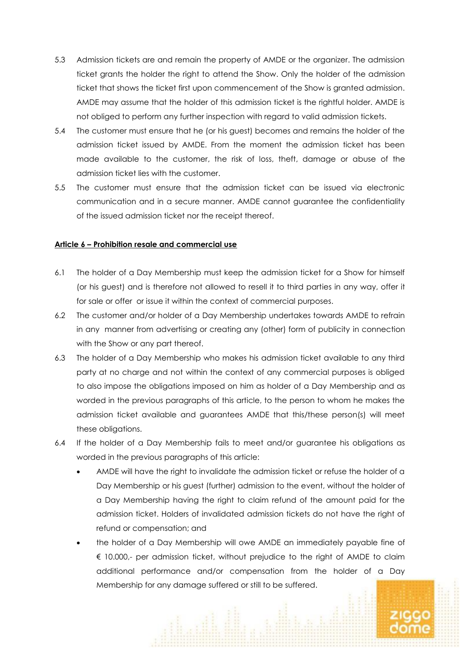- 5.3 Admission tickets are and remain the property of AMDE or the organizer. The admission ticket grants the holder the right to attend the Show. Only the holder of the admission ticket that shows the ticket first upon commencement of the Show is granted admission. AMDE may assume that the holder of this admission ticket is the rightful holder. AMDE is not obliged to perform any further inspection with regard to valid admission tickets.
- 5.4 The customer must ensure that he (or his guest) becomes and remains the holder of the admission ticket issued by AMDE. From the moment the admission ticket has been made available to the customer, the risk of loss, theft, damage or abuse of the admission ticket lies with the customer.
- 5.5 The customer must ensure that the admission ticket can be issued via electronic communication and in a secure manner. AMDE cannot guarantee the confidentiality of the issued admission ticket nor the receipt thereof.

## **Article 6 – Prohibition resale and commercial use**

- 6.1 The holder of a Day Membership must keep the admission ticket for a Show for himself (or his guest) and is therefore not allowed to resell it to third parties in any way, offer it for sale or offer or issue it within the context of commercial purposes.
- 6.2 The customer and/or holder of a Day Membership undertakes towards AMDE to refrain in any manner from advertising or creating any (other) form of publicity in connection with the Show or any part thereof.
- 6.3 The holder of a Day Membership who makes his admission ticket available to any third party at no charge and not within the context of any commercial purposes is obliged to also impose the obligations imposed on him as holder of a Day Membership and as worded in the previous paragraphs of this article, to the person to whom he makes the admission ticket available and guarantees AMDE that this/these person(s) will meet these obligations.
- 6.4 If the holder of a Day Membership fails to meet and/or guarantee his obligations as worded in the previous paragraphs of this article:
	- AMDE will have the right to invalidate the admission ticket or refuse the holder of a Day Membership or his guest (further) admission to the event, without the holder of a Day Membership having the right to claim refund of the amount paid for the admission ticket. Holders of invalidated admission tickets do not have the right of refund or compensation; and
	- the holder of a Day Membership will owe AMDE an immediately payable fine of € 10.000,- per admission ticket, without prejudice to the right of AMDE to claim additional performance and/or compensation from the holder of a Day Membership for any damage suffered or still to be suffered.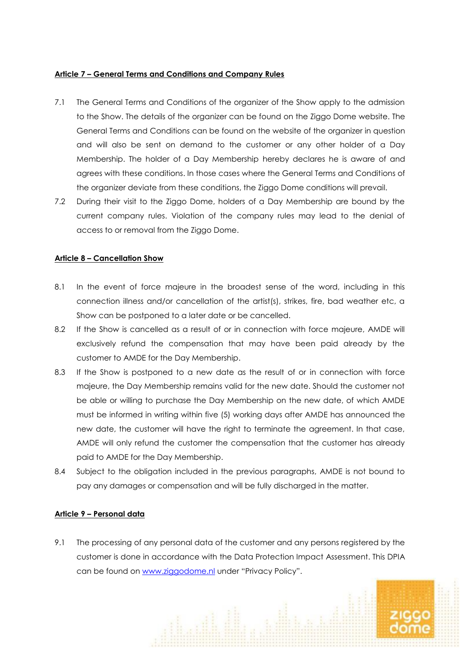#### **Article 7 – General Terms and Conditions and Company Rules**

- 7.1 The General Terms and Conditions of the organizer of the Show apply to the admission to the Show. The details of the organizer can be found on the Ziggo Dome website. The General Terms and Conditions can be found on the website of the organizer in question and will also be sent on demand to the customer or any other holder of a Day Membership. The holder of a Day Membership hereby declares he is aware of and agrees with these conditions. In those cases where the General Terms and Conditions of the organizer deviate from these conditions, the Ziggo Dome conditions will prevail.
- 7.2 During their visit to the Ziggo Dome, holders of a Day Membership are bound by the current company rules. Violation of the company rules may lead to the denial of access to or removal from the Ziggo Dome.

## **Article 8 – Cancellation Show**

- 8.1 In the event of force majeure in the broadest sense of the word, including in this connection illness and/or cancellation of the artist(s), strikes, fire, bad weather etc, a Show can be postponed to a later date or be cancelled.
- 8.2 If the Show is cancelled as a result of or in connection with force majeure, AMDE will exclusively refund the compensation that may have been paid already by the customer to AMDE for the Day Membership.
- 8.3 If the Show is postponed to a new date as the result of or in connection with force majeure, the Day Membership remains valid for the new date. Should the customer not be able or willing to purchase the Day Membership on the new date, of which AMDE must be informed in writing within five (5) working days after AMDE has announced the new date, the customer will have the right to terminate the agreement. In that case, AMDE will only refund the customer the compensation that the customer has already paid to AMDE for the Day Membership.
- 8.4 Subject to the obligation included in the previous paragraphs, AMDE is not bound to pay any damages or compensation and will be fully discharged in the matter.

## **Article 9 – Personal data**

9.1 The processing of any personal data of the customer and any persons registered by the customer is done in accordance with the Data Protection Impact Assessment. This DPIA can be found on [www.ziggodome.nl](http://www.ziggodome.nl/) under "Privacy Policy".